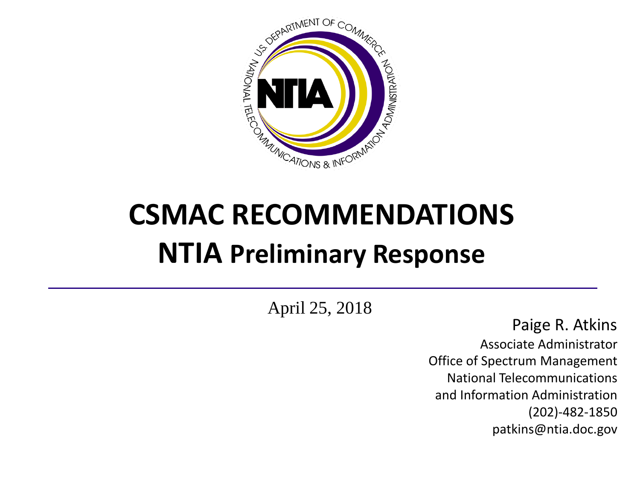

# **CSMAC RECOMMENDATIONS NTIA Preliminary Response**

April 25, 2018

Paige R. Atkins Associate Administrator Office of Spectrum Management National Telecommunications and Information Administration (202)-482-1850 patkins@ntia.doc.gov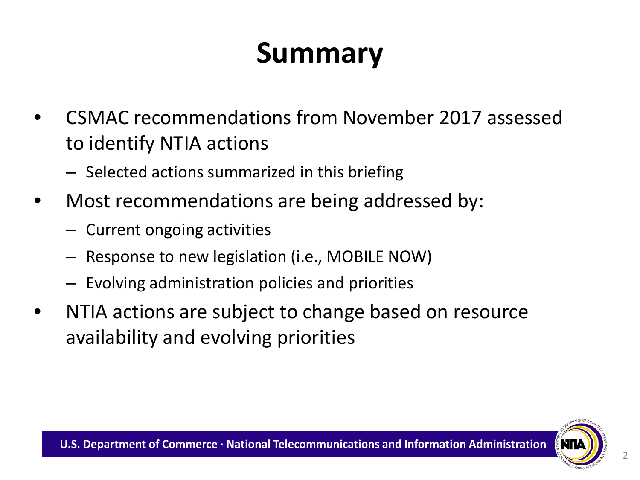# **Summary**

- CSMAC recommendations from November 2017 assessed to identify NTIA actions
	- Selected actions summarized in this briefing
- Most recommendations are being addressed by:
	- Current ongoing activities
	- Response to new legislation (i.e., MOBILE NOW)
	- Evolving administration policies and priorities
- NTIA actions are subject to change based on resource availability and evolving priorities

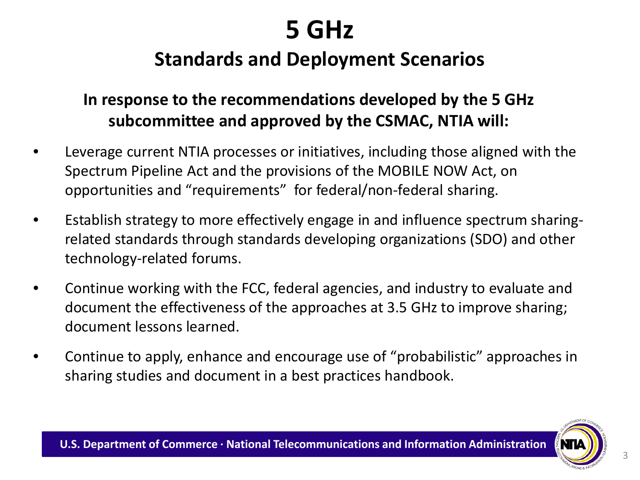## **5 GHz**

### **Standards and Deployment Scenarios**

#### **In response to the recommendations developed by the 5 GHz subcommittee and approved by the CSMAC, NTIA will:**

- Leverage current NTIA processes or initiatives, including those aligned with the Spectrum Pipeline Act and the provisions of the MOBILE NOW Act, on opportunities and "requirements" for federal/non-federal sharing.
- Establish strategy to more effectively engage in and influence spectrum sharingrelated standards through standards developing organizations (SDO) and other technology-related forums.
- Continue working with the FCC, federal agencies, and industry to evaluate and document the effectiveness of the approaches at 3.5 GHz to improve sharing; document lessons learned.
- Continue to apply, enhance and encourage use of "probabilistic" approaches in sharing studies and document in a best practices handbook.

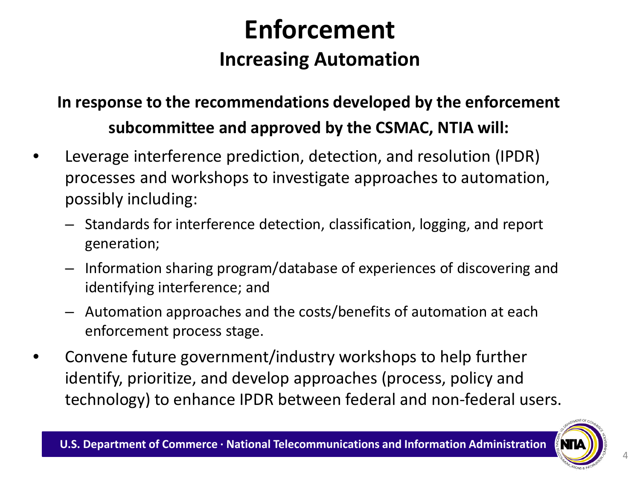## **Enforcement**

### **Increasing Automation**

### **In response to the recommendations developed by the enforcement subcommittee and approved by the CSMAC, NTIA will:**

- Leverage interference prediction, detection, and resolution (IPDR) processes and workshops to investigate approaches to automation, possibly including:
	- Standards for interference detection, classification, logging, and report generation;
	- Information sharing program/database of experiences of discovering and identifying interference; and
	- Automation approaches and the costs/benefits of automation at each enforcement process stage.
- Convene future government/industry workshops to help further identify, prioritize, and develop approaches (process, policy and technology) to enhance IPDR between federal and non-federal users.



4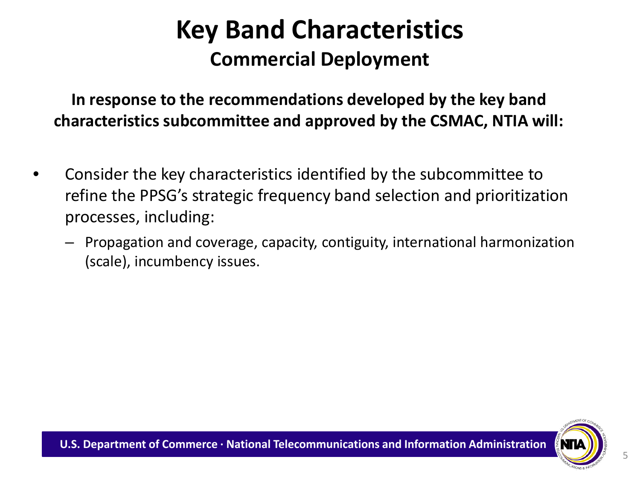### **Key Band Characteristics Commercial Deployment**

**In response to the recommendations developed by the key band characteristics subcommittee and approved by the CSMAC, NTIA will:**

- Consider the key characteristics identified by the subcommittee to refine the PPSG's strategic frequency band selection and prioritization processes, including:
	- Propagation and coverage, capacity, contiguity, international harmonization (scale), incumbency issues.